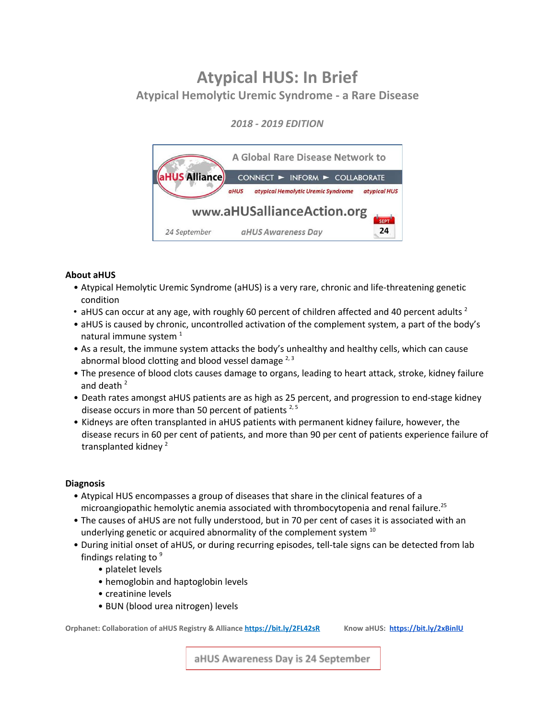# **Atypical HUS: In Brief Atypical Hemolytic Uremic Syndrome - a Rare Disease**

# *2018 - 2019 EDITION*



# **About aHUS**

- Atypical Hemolytic Uremic Syndrome (aHUS) is a very rare, chronic and life-threatening genetic condition
- aHUS can occur at any age, with roughly 60 percent of children affected and 40 percent adults  $^2$
- aHUS is caused by chronic, uncontrolled activation of the complement system, a part of the body's natural immune system  $^1$
- As a result, the immune system attacks the body's unhealthy and healthy cells, which can cause abnormal blood clotting and blood vessel damage  $2,3$
- The presence of blood clots causes damage to organs, leading to heart attack, stroke, kidney failure and death 2
- Death rates amongst aHUS patients are as high as 25 percent, and progression to end-stage kidney disease occurs in more than 50 percent of patients<sup>2,5</sup>
- Kidneys are often transplanted in aHUS patients with permanent kidney failure, however, the disease recurs in 60 per cent of patients, and more than 90 per cent of patients experience failure of transplanted kidney 2

## **Diagnosis**

- Atypical HUS encompasses a group of diseases that share in the clinical features of a microangiopathic hemolytic anemia associated with thrombocytopenia and renal failure.<sup>25</sup>
- The causes of aHUS are not fully understood, but in 70 per cent of cases it is associated with an underlying genetic or acquired abnormality of the complement system  $^{10}$
- During initial onset of aHUS, or during recurring episodes, tell-tale signs can be detected from lab findings relating to  $9$ 
	- platelet levels
	- hemoglobin and haptoglobin levels
	- creatinine levels
	- BUN (blood urea nitrogen) levels

**Orphanet: Collaboration of aHUS Registry & Alliance <https://bit.ly/2FL42sR> Know aHUS: <https://bit.ly/2xBinlU>**